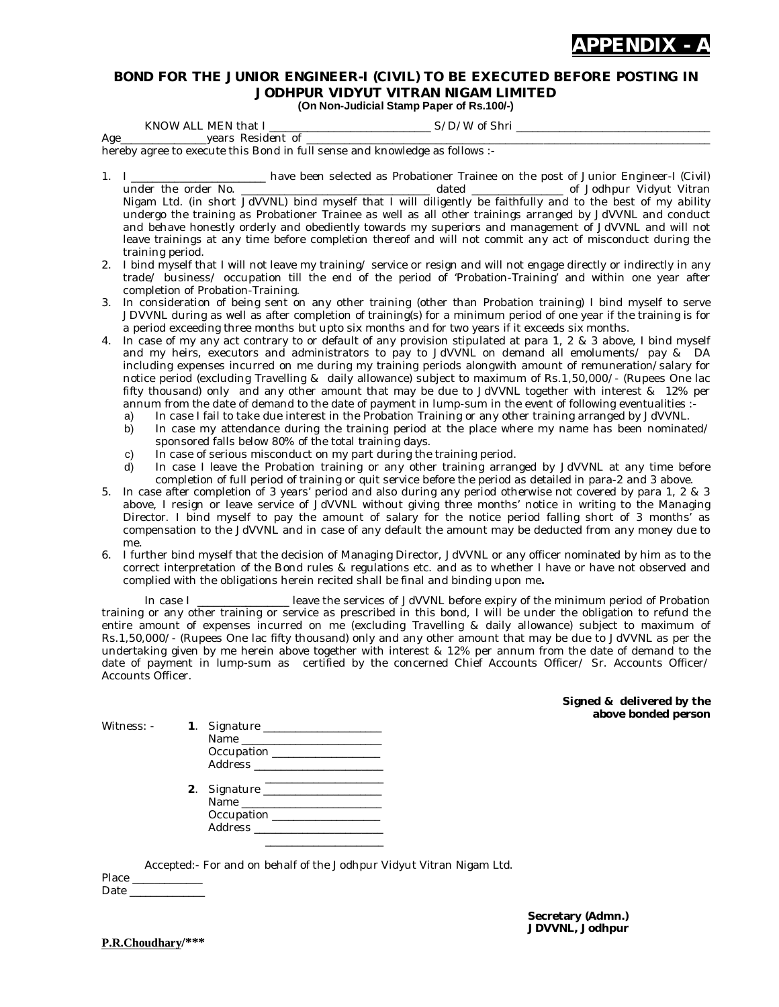

## **BOND FOR THE JUNIOR ENGINEER-I (CIVIL) TO BE EXECUTED BEFORE POSTING IN JODHPUR VIDYUT VITRAN NIGAM LIMITED (On Non-Judicial Stamp Paper of Rs.100/-)**

KNOW ALL MEN that I \_\_\_\_\_\_\_\_\_\_\_\_\_\_\_\_\_\_\_\_\_\_\_\_\_\_\_\_\_\_ S/D/W of Shri \_\_\_\_\_\_\_\_\_\_\_\_\_\_\_\_\_\_\_\_\_\_\_\_\_\_\_\_\_\_\_\_\_\_\_\_ Age\_\_\_\_\_\_\_\_\_\_\_\_\_\_\_\_years Resident of \_\_\_\_\_\_\_\_\_\_\_\_\_\_\_\_\_\_\_\_\_\_\_\_\_\_\_\_\_\_\_\_\_\_\_\_\_\_\_\_\_\_\_\_\_\_\_\_\_\_\_\_\_\_\_\_\_\_\_\_\_\_\_\_\_\_\_\_\_\_\_\_\_\_\_

hereby agree to execute this Bond in full sense and knowledge as follows :-

- 1. I \_\_\_\_\_\_\_\_\_\_\_\_\_\_\_\_\_\_\_\_\_\_\_\_\_ have been selected as Probationer Trainee on the post of Junior Engineer-I (Civil) \_ dated \_\_\_\_\_\_\_\_\_\_\_\_\_\_\_\_\_\_ of Jodhpur Vidyut Vitran Nigam Ltd. (in short JdVVNL) bind myself that I will diligently be faithfully and to the best of my ability undergo the training as Probationer Trainee as well as all other trainings arranged by JdVVNL and conduct and behave honestly orderly and obediently towards my superiors and management of JdVVNL and will not leave trainings at any time before completion thereof and will not commit any act of misconduct during the training period.
- 2. I bind myself that I will not leave my training/ service or resign and will not engage directly or indirectly in any trade/ business/ occupation till the end of the period of 'Probation-Training' and within one year after completion of Probation-Training.
- 3. In consideration of being sent on any other training (other than Probation training) I bind myself to serve JDVVNL during as well as after completion of training(s) for a minimum period of one year if the training is for a period exceeding three months but upto six months and for two years if it exceeds six months.
- 4. In case of my any act contrary to or default of any provision stipulated at para 1, 2 & 3 above, I bind myself and my heirs, executors and administrators to pay to JdVVNL on demand all emoluments/ pay & DA including expenses incurred on me during my training periods alongwith amount of remuneration/salary for notice period (excluding Travelling & daily allowance) subject to maximum of Rs.1,50,000/- (Rupees One lac fifty thousand) only and any other amount that may be due to JdVVNL together with interest & 12% per annum from the date of demand to the date of payment in lump-sum in the event of following eventualities :
	- a) In case I fail to take due interest in the Probation Training or any other training arranged by JdVVNL.
	- b) In case my attendance during the training period at the place where my name has been nominated/ sponsored falls below 80% of the total training days.
	- c) In case of serious misconduct on my part during the training period.
	- d) In case I leave the Probation training or any other training arranged by JdVVNL at any time before completion of full period of training or quit service before the period as detailed in para-2 and 3 above.
- 5. In case after completion of 3 years' period and also during any period otherwise not covered by para 1, 2 & 3 above, I resign or leave service of JdVVNL without giving three months' notice in writing to the Managing Director. I bind myself to pay the amount of salary for the notice period falling short of 3 months' as compensation to the JdVVNL and in case of any default the amount may be deducted from any money due to me.
- 6. I further bind myself that the decision of Managing Director, JdVVNL or any officer nominated by him as to the correct interpretation of the Bond rules & regulations etc. and as to whether I have or have not observed and complied with the obligations herein recited shall be final and binding upon me**.**

In case I \_\_\_\_\_\_\_\_\_\_\_\_\_\_\_\_\_\_ leave the services of JdVVNL before expiry of the minimum period of Probation training or any other training or service as prescribed in this bond, I will be under the obligation to refund the entire amount of expenses incurred on me (excluding Travelling & daily allowance) subject to maximum of Rs.1,50,000/- (Rupees One lac fifty thousand) only and any other amount that may be due to JdVVNL as per the undertaking given by me herein above together with interest & 12% per annum from the date of demand to the date of payment in lump-sum as certified by the concerned Chief Accounts Officer/ Sr. Accounts Officer/ Accounts Officer.

> **Signed & delivered by the above bonded person**

| Witness: - | Occupation _________________                                        |
|------------|---------------------------------------------------------------------|
|            | 2. Signature _____________________<br>Occupation __________________ |

Accepted:- For and on behalf of the Jodhpur Vidyut Vitran Nigam Ltd.

Place \_ Date

> **Secretary (Admn.) JDVVNL, Jodhpur**

**P.R.Choudhary/\*\*\***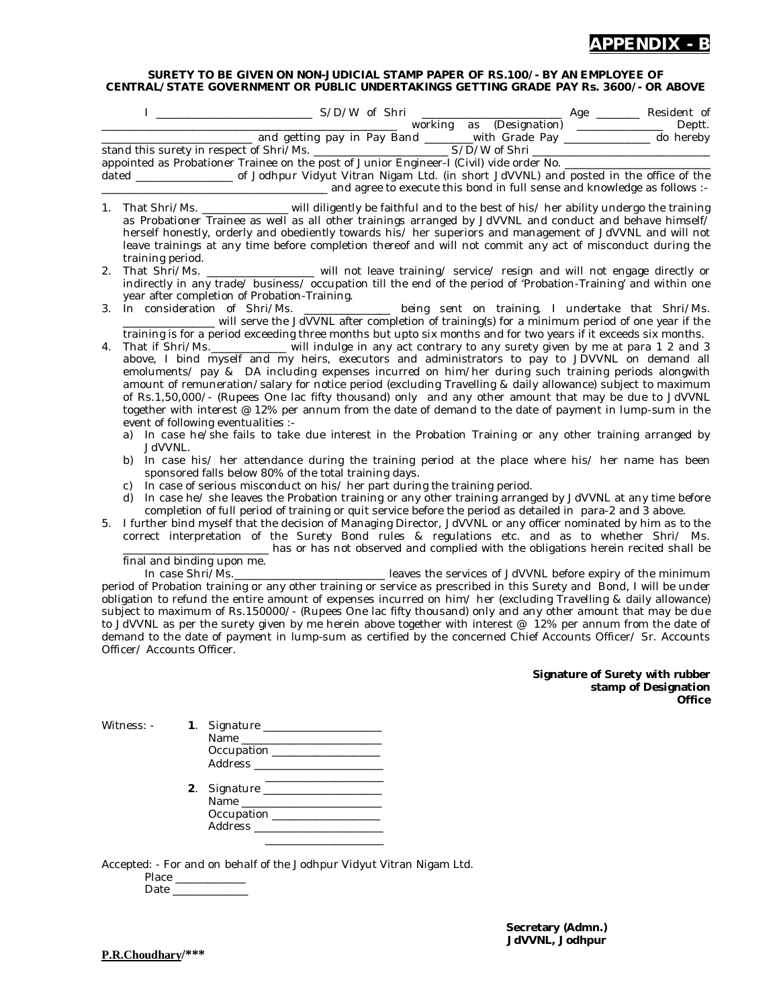

## **SURETY TO BE GIVEN ON NON-JUDICIAL STAMP PAPER OF RS.100/- BY AN EMPLOYEE OF CENTRAL/STATE GOVERNMENT OR PUBLIC UNDERTAKINGS GETTING GRADE PAY Rs. 3600/- OR ABOVE**

|    | appointed as Probationer Trainee on the post of Junior Engineer-I (Civil) vide order No. _____________________                                                                                                                                                                                                                                                                                                                                                                                                                                                                                                                                                                                                                                                                                                |
|----|---------------------------------------------------------------------------------------------------------------------------------------------------------------------------------------------------------------------------------------------------------------------------------------------------------------------------------------------------------------------------------------------------------------------------------------------------------------------------------------------------------------------------------------------------------------------------------------------------------------------------------------------------------------------------------------------------------------------------------------------------------------------------------------------------------------|
|    | dated ______________________ of Jodhpur Vidyut Vitran Nigam Ltd. (in short JdVVNL) and posted in the office of the                                                                                                                                                                                                                                                                                                                                                                                                                                                                                                                                                                                                                                                                                            |
|    | -: and agree to execute this bond in full sense and knowledge as follows :-                                                                                                                                                                                                                                                                                                                                                                                                                                                                                                                                                                                                                                                                                                                                   |
| 1. | That Shri/Ms. ________________ will diligently be faithful and to the best of his/ her ability undergo the training<br>as Probationer Trainee as well as all other trainings arranged by JdVVNL and conduct and behave himself/<br>herself honestly, orderly and obediently towards his/ her superiors and management of JdVVNL and will not<br>leave trainings at any time before completion thereof and will not commit any act of misconduct during the<br>training period.                                                                                                                                                                                                                                                                                                                                |
| 2. | That Shri/Ms. __________________ will not leave training/ service/ resign and will not engage directly or<br>indirectly in any trade/ business/ occupation till the end of the period of 'Probation-Training' and within one<br>year after completion of Probation-Training.                                                                                                                                                                                                                                                                                                                                                                                                                                                                                                                                  |
| 3. | In consideration of Shri/Ms. ___________ being sent on training, I undertake that Shri/Ms.<br>will serve the JdVVNL after completion of training(s) for a minimum period of one year if the                                                                                                                                                                                                                                                                                                                                                                                                                                                                                                                                                                                                                   |
| 4. | training is for a period exceeding three months but upto six months and for two years if it exceeds six months.<br>That if Shri/Ms.___________ will indulge in any act contrary to any surety given by me at para 1 2 and 3<br>above, I bind myself and my heirs, executors and administrators to pay to JDVVNL on demand all<br>emoluments/ pay & DA including expenses incurred on him/her during such training periods alongwith<br>amount of remuneration/salary for notice period (excluding Travelling & daily allowance) subject to maximum<br>of Rs.1,50,000/- (Rupees One lac fifty thousand) only and any other amount that may be due to JdVVNL<br>together with interest @ 12% per annum from the date of demand to the date of payment in lump-sum in the<br>event of following eventualities :- |
|    | a) In case he/she fails to take due interest in the Probation Training or any other training arranged by<br>JdVVNL.                                                                                                                                                                                                                                                                                                                                                                                                                                                                                                                                                                                                                                                                                           |
|    | In case his/ her attendance during the training period at the place where his/ her name has been<br>b)<br>sponsored falls below 80% of the total training days.<br>In case of serious misconduct on his/ her part during the training period.<br>C)<br>In case he/ she leaves the Probation training or any other training arranged by JdVVNL at any time before<br>d)<br>completion of full period of training or quit service before the period as detailed in para-2 and 3 above.                                                                                                                                                                                                                                                                                                                          |
| 5. | I further bind myself that the decision of Managing Director, JdVVNL or any officer nominated by him as to the<br>correct interpretation of the Surety Bond rules & regulations etc. and as to whether Shri/ Ms.<br>has or has not observed and complied with the obligations herein recited shall be                                                                                                                                                                                                                                                                                                                                                                                                                                                                                                         |
|    | final and binding upon me.                                                                                                                                                                                                                                                                                                                                                                                                                                                                                                                                                                                                                                                                                                                                                                                    |
|    | In case Shri/Ms._________________________________ leaves the services of JdVVNL before expiry of the minimum                                                                                                                                                                                                                                                                                                                                                                                                                                                                                                                                                                                                                                                                                                  |
|    | period of Probation training or any other training or service as prescribed in this Surety and Bond, I will be under                                                                                                                                                                                                                                                                                                                                                                                                                                                                                                                                                                                                                                                                                          |
|    | obligation to refund the entire amount of expenses incurred on him/ her (excluding Travelling & daily allowance)                                                                                                                                                                                                                                                                                                                                                                                                                                                                                                                                                                                                                                                                                              |

obligation to refund the entire amount of expenses incurred on him/ her (excluding Travelling & daily allowance) subject to maximum of Rs.150000/- (Rupees One lac fifty thousand) only and any other amount that may be due to JdVVNL as per the surety given by me herein above together with interest @ 12% per annum from the date of demand to the date of payment in lump-sum as certified by the concerned Chief Accounts Officer/ Sr. Accounts Officer/ Accounts Officer.

> **Signature of Surety with rubber stamp of Designation Office**

| Witness: - | Occupation _________________<br>Address ________________________                                    |
|------------|-----------------------------------------------------------------------------------------------------|
|            | 2. Signature ___________________<br>Occupation ________________<br>Address ________________________ |

Accepted: - For and on behalf of the Jodhpur Vidyut Vitran Nigam Ltd.

Place \_\_\_\_\_\_\_\_\_\_\_\_\_ Date \_\_\_\_\_\_\_\_\_\_\_\_\_\_